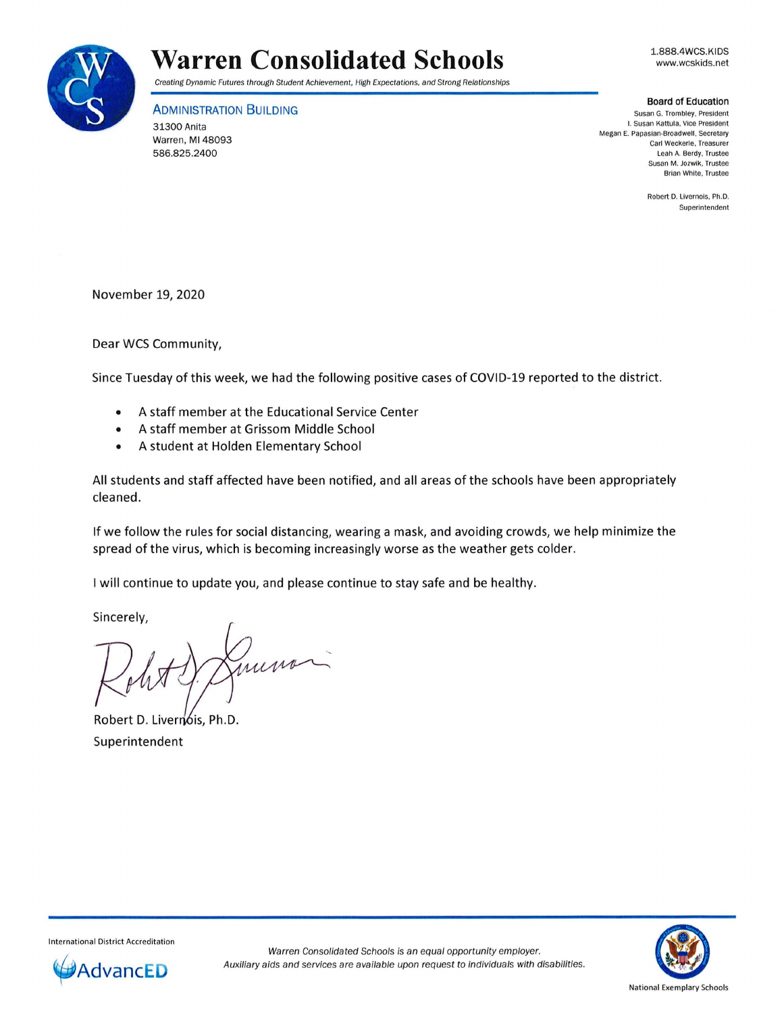

## **Warren Consolidated Schools**

Creating Dynamic Futures through Student Achievement, High Expectations, and Strong Relationships

**ADMINISTRATION BUILDING** 

31300 Anita Warren, Ml 48093 586.825.2400

1.888.4WCS.KIDS www.wcskids.net

## **Board of Education**

**Susan G. Trombley, President**  I. **Susan Kattula, Vice President**  Megan E. Papasian-Broadwell, Secretary **Carl Weckerle, Treasurer**  Leah A. Berdy. Trustee **Susan M. Jozwik, Trustee Brian White. Trustee** 

> **Robert D. Livernois, Ph .D. Superintendent**

November 19, 2020

Dear WCS Community,

Since Tuesday of this week, we had the following positive cases of COVID-19 reported to the district.

- A staff member at the Educational Service Center
- A staff member at Grissom Middle School
- A student at Holden Elementary School

All students and staff affected have been notified, and all areas of the schools have been appropriately cleaned.

If we follow the rules for social distancing, wearing a mask, and avoiding crowds, we help minimize the spread of the virus, which is becoming increasingly worse as the weather gets colder.

I will continue to update you, and please continue to stay safe and be healthy.

Sincerely,

munor

Robert D. Liver Superintendent



International District Accreditation